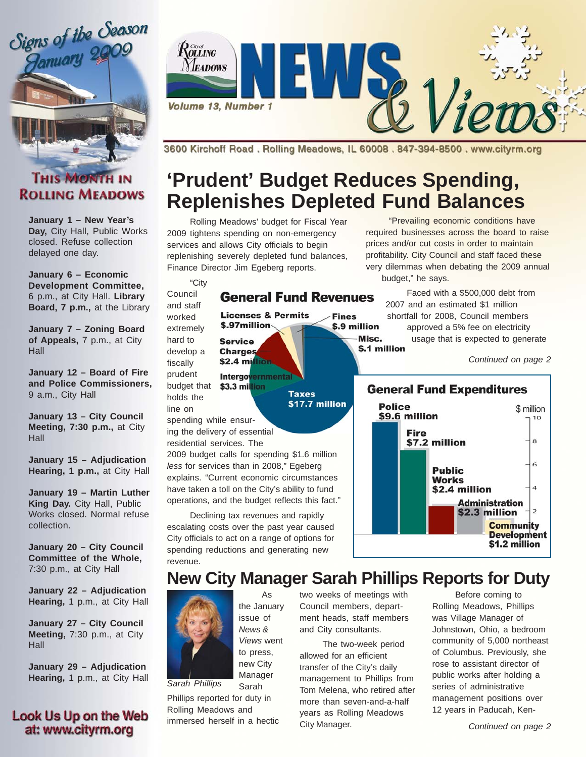

### **THIS MONTH IN ROLLING MEADOWS**

**January 1 – New Year's Day,** City Hall, Public Works closed. Refuse collection delayed one day.

**January 6 – Economic Development Committee,** 6 p.m., at City Hall. **Library Board, 7 p.m.,** at the Library

**January 7 – Zoning Board of Appeals,** 7 p.m., at City **Hall** 

**January 12 – Board of Fire and Police Commissioners,** 9 a.m., City Hall

**January 13 – City Council Meeting, 7:30 p.m.,** at City Hall

**January 15 – Adjudication Hearing, 1 p.m.,** at City Hall

**January 19 – Martin Luther King Day.** City Hall, Public Works closed. Normal refuse collection.

**January 20 – City Council Committee of the Whole,** 7:30 p.m., at City Hall

**January 22 – Adjudication Hearing,** 1 p.m., at City Hall

**January 27 – City Council Meeting,** 7:30 p.m., at City Hall

**January 29 – Adjudication Hearing,** 1 p.m., at City Hall

#### **Look Us Up on the Web** at: www.cityrm.org



3600 Kirchoff Road, Rolling Meadows, IL 60008, 847-394-8500, www.cityrm.org

# **'Prudent' Budget Reduces Spending, Replenishes Depleted Fund Balances**

Misc.

Rolling Meadows' budget for Fiscal Year 2009 tightens spending on non-emergency services and allows City officials to begin replenishing severely depleted fund balances, Finance Director Jim Egeberg reports.

"City Council

and staff worked

hard to

fiscally

#### **General Fund Revenues Licenses & Permits Fines** \$.9 million

**Taxes** 

\$17.7 million

\$.97million extremely **Service** develop a **Charges** \$2.4 million

prudent **Intergovernmental** budget that \$3.3 million holds the line on

spending while ensuring the delivery of essential

residential services. The

2009 budget calls for spending \$1.6 million *less* for services than in 2008," Egeberg explains. "Current economic circumstances have taken a toll on the City's ability to fund operations, and the budget reflects this fact."

Declining tax revenues and rapidly escalating costs over the past year caused City officials to act on a range of options for spending reductions and generating new revenue.

As

"Prevailing economic conditions have required businesses across the board to raise prices and/or cut costs in order to maintain profitability. City Council and staff faced these very dilemmas when debating the 2009 annual budget," he says.

Faced with a \$500,000 debt from 2007 and an estimated \$1 million shortfall for 2008, Council members approved a 5% fee on electricity usage that is expected to generate \$.1 million

*Continued on page 2*



# **New City Manager Sarah Phillips Reports for Duty**



Sarah Phillips reported for duty in Rolling Meadows and immersed herself in a hectic *Sarah Phillips*

two weeks of meetings with Council members, department heads, staff members and City consultants.

The two-week period allowed for an efficient transfer of the City's daily management to Phillips from Tom Melena, who retired after more than seven-and-a-half years as Rolling Meadows City Manager.

Before coming to Rolling Meadows, Phillips was Village Manager of Johnstown, Ohio, a bedroom community of 5,000 northeast of Columbus. Previously, she rose to assistant director of public works after holding a series of administrative management positions over 12 years in Paducah, Ken-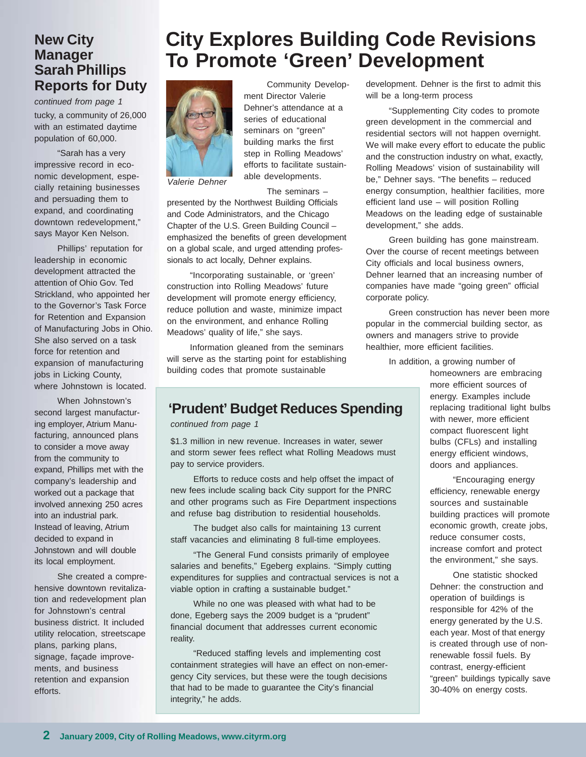### **New City Manager Sarah Phillips Reports for Duty**

tucky, a community of 26,000 with an estimated daytime population of 60,000. *continued from page 1*

"Sarah has a very impressive record in economic development, especially retaining businesses and persuading them to expand, and coordinating downtown redevelopment," says Mayor Ken Nelson.

Phillips' reputation for leadership in economic development attracted the attention of Ohio Gov. Ted Strickland, who appointed her to the Governor's Task Force for Retention and Expansion of Manufacturing Jobs in Ohio. She also served on a task force for retention and expansion of manufacturing jobs in Licking County, where Johnstown is located.

When Johnstown's second largest manufacturing employer, Atrium Manufacturing, announced plans to consider a move away from the community to expand, Phillips met with the company's leadership and worked out a package that involved annexing 250 acres into an industrial park. Instead of leaving, Atrium decided to expand in Johnstown and will double its local employment.

She created a comprehensive downtown revitalization and redevelopment plan for Johnstown's central business district. It included utility relocation, streetscape plans, parking plans, signage, façade improvements, and business retention and expansion efforts.

## **City Explores Building Code Revisions To Promote 'Green' Development**



Community Development Director Valerie Dehner's attendance at a series of educational seminars on "green" building marks the first step in Rolling Meadows' efforts to facilitate sustainable developments.

The seminars –

presented by the Northwest Building Officials and Code Administrators, and the Chicago Chapter of the U.S. Green Building Council – emphasized the benefits of green development on a global scale, and urged attending professionals to act locally, Dehner explains.

"Incorporating sustainable, or 'green' construction into Rolling Meadows' future development will promote energy efficiency, reduce pollution and waste, minimize impact on the environment, and enhance Rolling Meadows' quality of life," she says.

Information gleaned from the seminars will serve as the starting point for establishing building codes that promote sustainable

#### **'Prudent' Budget Reduces Spending**

*continued from page 1*

\$1.3 million in new revenue. Increases in water, sewer and storm sewer fees reflect what Rolling Meadows must pay to service providers.

Efforts to reduce costs and help offset the impact of new fees include scaling back City support for the PNRC and other programs such as Fire Department inspections and refuse bag distribution to residential households.

The budget also calls for maintaining 13 current staff vacancies and eliminating 8 full-time employees.

"The General Fund consists primarily of employee salaries and benefits," Egeberg explains. "Simply cutting expenditures for supplies and contractual services is not a viable option in crafting a sustainable budget."

While no one was pleased with what had to be done, Egeberg says the 2009 budget is a "prudent" financial document that addresses current economic reality.

"Reduced staffing levels and implementing cost containment strategies will have an effect on non-emergency City services, but these were the tough decisions that had to be made to guarantee the City's financial integrity," he adds.

development. Dehner is the first to admit this will be a long-term process

"Supplementing City codes to promote green development in the commercial and residential sectors will not happen overnight. We will make every effort to educate the public and the construction industry on what, exactly, Rolling Meadows' vision of sustainability will be," Dehner says. "The benefits – reduced energy consumption, healthier facilities, more efficient land use – will position Rolling Meadows on the leading edge of sustainable development," she adds.

Green building has gone mainstream. Over the course of recent meetings between City officials and local business owners, Dehner learned that an increasing number of companies have made "going green" official corporate policy.

Green construction has never been more popular in the commercial building sector, as owners and managers strive to provide healthier, more efficient facilities.

In addition, a growing number of

homeowners are embracing more efficient sources of energy. Examples include replacing traditional light bulbs with newer, more efficient compact fluorescent light bulbs (CFLs) and installing energy efficient windows, doors and appliances.

"Encouraging energy efficiency, renewable energy sources and sustainable building practices will promote economic growth, create jobs, reduce consumer costs, increase comfort and protect the environment," she says.

One statistic shocked Dehner: the construction and operation of buildings is responsible for 42% of the energy generated by the U.S. each year. Most of that energy is created through use of nonrenewable fossil fuels. By contrast, energy-efficient "green" buildings typically save 30-40% on energy costs.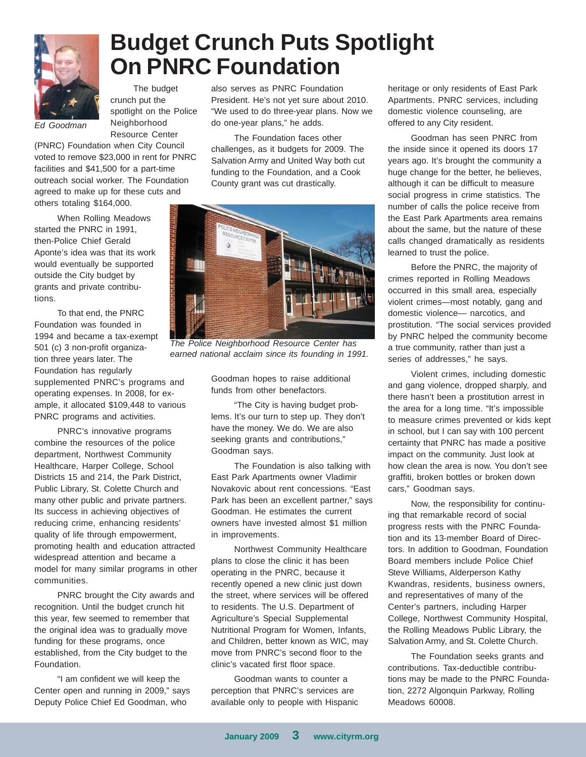

# **Budget Crunch Puts Spotlight On PNRC Foundation**

The budget crunch put the spotlight on the Police Neighborhood Resource Center

*Ed Goodman*

(PNRC) Foundation when City Council voted to remove \$23,000 in rent for PNRC facilities and \$41,500 for a part-time outreach social worker. The Foundation agreed to make up for these cuts and others totaling \$164,000.

When Rolling Meadows started the PNRC in 1991, then-Police Chief Gerald Aponte's idea was that its work would eventually be supported outside the City budget by grants and private contributions.

To that end, the PNRC Foundation was founded in 1994 and became a tax-exempt 501 (c) 3 non-profit organization three years later. The Foundation has regularly supplemented PNRC's programs and operating expenses. In 2008, for example, it allocated \$109,448 to various PNRC programs and activities.

PNRC's innovative programs combine the resources of the police department, Northwest Community Healthcare, Harper College, School Districts 15 and 214, the Park District, Public Library, St. Colette Church and many other public and private partners. Its success in achieving objectives of reducing crime, enhancing residents' quality of life through empowerment, promoting health and education attracted widespread attention and became a model for many similar programs in other communities.

PNRC brought the City awards and recognition. Until the budget crunch hit this year, few seemed to remember that the original idea was to gradually move funding for these programs, once established, from the City budget to the Foundation.

"I am confident we will keep the Center open and running in 2009," says Deputy Police Chief Ed Goodman, who

also serves as PNRC Foundation President. He's not yet sure about 2010. "We used to do three-year plans. Now we do one-year plans," he adds.

The Foundation faces other challenges, as it budgets for 2009. The Salvation Army and United Way both cut funding to the Foundation, and a Cook County grant was cut drastically.



*The Police Neighborhood Resource Center has earned national acclaim since its founding in 1991.*

Goodman hopes to raise additional funds from other benefactors.

"The City is having budget problems. It's our turn to step up. They don't have the money. We do. We are also seeking grants and contributions," Goodman says.

The Foundation is also talking with East Park Apartments owner Vladimir Novakovic about rent concessions. "East Park has been an excellent partner," says Goodman. He estimates the current owners have invested almost \$1 million in improvements.

Northwest Community Healthcare plans to close the clinic it has been operating in the PNRC, because it recently opened a new clinic just down the street, where services will be offered to residents. The U.S. Department of Agriculture's Special Supplemental Nutritional Program for Women, Infants, and Children, better known as WIC, may move from PNRC's second floor to the clinic's vacated first floor space.

Goodman wants to counter a perception that PNRC's services are available only to people with Hispanic heritage or only residents of East Park Apartments. PNRC services, including domestic violence counseling, are offered to any City resident.

Goodman has seen PNRC from the inside since it opened its doors 17 years ago. It's brought the community a huge change for the better, he believes, although it can be difficult to measure social progress in crime statistics. The number of calls the police receive from the East Park Apartments area remains about the same, but the nature of these calls changed dramatically as residents learned to trust the police.

Before the PNRC, the majority of crimes reported in Rolling Meadows occurred in this small area, especially violent crimes—most notably, gang and domestic violence— narcotics, and prostitution. "The social services provided by PNRC helped the community become a true community, rather than just a series of addresses," he says.

Violent crimes, including domestic and gang violence, dropped sharply, and there hasn't been a prostitution arrest in the area for a long time. "It's impossible to measure crimes prevented or kids kept in school, but I can say with 100 percent certainty that PNRC has made a positive impact on the community. Just look at how clean the area is now. You don't see graffiti, broken bottles or broken down cars," Goodman says.

Now, the responsibility for continuing that remarkable record of social progress rests with the PNRC Foundation and its 13-member Board of Directors. In addition to Goodman, Foundation Board members include Police Chief Steve Williams, Alderperson Kathy Kwandras, residents, business owners, and representatives of many of the Center's partners, including Harper College, Northwest Community Hospital, the Rolling Meadows Public Library, the Salvation Army, and St. Colette Church.

The Foundation seeks grants and contributions. Tax-deductible contributions may be made to the PNRC Foundation, 2272 Algonquin Parkway, Rolling Meadows 60008.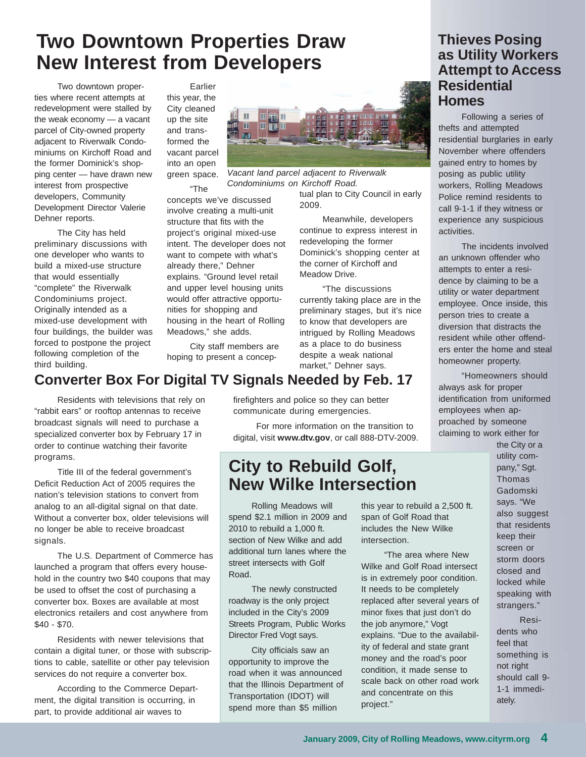# **Two Downtown Properties Draw New Interest from Developers**

Two downtown properties where recent attempts at redevelopment were stalled by the weak economy — a vacant parcel of City-owned property adjacent to Riverwalk Condominiums on Kirchoff Road and the former Dominick's shopping center — have drawn new interest from prospective developers, Community Development Director Valerie Dehner reports.

The City has held preliminary discussions with one developer who wants to build a mixed-use structure that would essentially "complete" the Riverwalk Condominiums project. Originally intended as a mixed-use development with four buildings, the builder was forced to postpone the project following completion of the third building.

Earlier this year, the City cleaned up the site and transformed the vacant parcel into an open green space.

"The concepts we've discussed involve creating a multi-unit structure that fits with the project's original mixed-use intent. The developer does not want to compete with what's already there," Dehner explains. "Ground level retail and upper level housing units would offer attractive opportunities for shopping and housing in the heart of Rolling Meadows," she adds.

City staff members are hoping to present a concep-

### **Converter Box For Digital TV Signals Needed by Feb. 17**

Residents with televisions that rely on "rabbit ears" or rooftop antennas to receive broadcast signals will need to purchase a specialized converter box by February 17 in order to continue watching their favorite programs.

Title III of the federal government's Deficit Reduction Act of 2005 requires the nation's television stations to convert from analog to an all-digital signal on that date. Without a converter box, older televisions will no longer be able to receive broadcast signals.

The U.S. Department of Commerce has launched a program that offers every household in the country two \$40 coupons that may be used to offset the cost of purchasing a converter box. Boxes are available at most electronics retailers and cost anywhere from \$40 - \$70.

Residents with newer televisions that contain a digital tuner, or those with subscriptions to cable, satellite or other pay television services do not require a converter box.

According to the Commerce Department, the digital transition is occurring, in part, to provide additional air waves to

firefighters and police so they can better communicate during emergencies.

For more information on the transition to digital, visit **www.dtv.gov**, or call 888-DTV-2009.

### **City to Rebuild Golf, New Wilke Intersection**

Rolling Meadows will spend \$2.1 million in 2009 and 2010 to rebuild a 1,000 ft. section of New Wilke and add additional turn lanes where the street intersects with Golf Road.

The newly constructed roadway is the only project included in the City's 2009 Streets Program, Public Works Director Fred Vogt says.

City officials saw an opportunity to improve the road when it was announced that the Illinois Department of Transportation (IDOT) will spend more than \$5 million

this year to rebuild a 2,500 ft. span of Golf Road that includes the New Wilke intersection.

"The area where New Wilke and Golf Road intersect is in extremely poor condition. It needs to be completely replaced after several years of minor fixes that just don't do the job anymore," Vogt explains. "Due to the availability of federal and state grant money and the road's poor condition, it made sense to scale back on other road work and concentrate on this project."

### **Thieves Posing as Utility Workers Attempt to Access Residential Homes**

Following a series of thefts and attempted residential burglaries in early November where offenders gained entry to homes by posing as public utility workers, Rolling Meadows Police remind residents to call 9-1-1 if they witness or experience any suspicious activities.

The incidents involved an unknown offender who attempts to enter a residence by claiming to be a utility or water department employee. Once inside, this person tries to create a diversion that distracts the resident while other offenders enter the home and steal homeowner property.

"Homeowners should always ask for proper identification from uniformed employees when approached by someone claiming to work either for the City or a

> utility company," Sgt. Thomas Gadomski says. "We also suggest that residents keep their screen or storm doors closed and locked while speaking with strangers."

Residents who feel that something is not right should call 9- 1-1 immediately.



*Vacant land parcel adjacent to Riverwalk Condominiums on Kirchoff Road.*

tual plan to City Council in early 2009.

Meanwhile, developers continue to express interest in redeveloping the former Dominick's shopping center at the corner of Kirchoff and Meadow Drive.

"The discussions currently taking place are in the preliminary stages, but it's nice to know that developers are intrigued by Rolling Meadows as a place to do business despite a weak national market," Dehner says.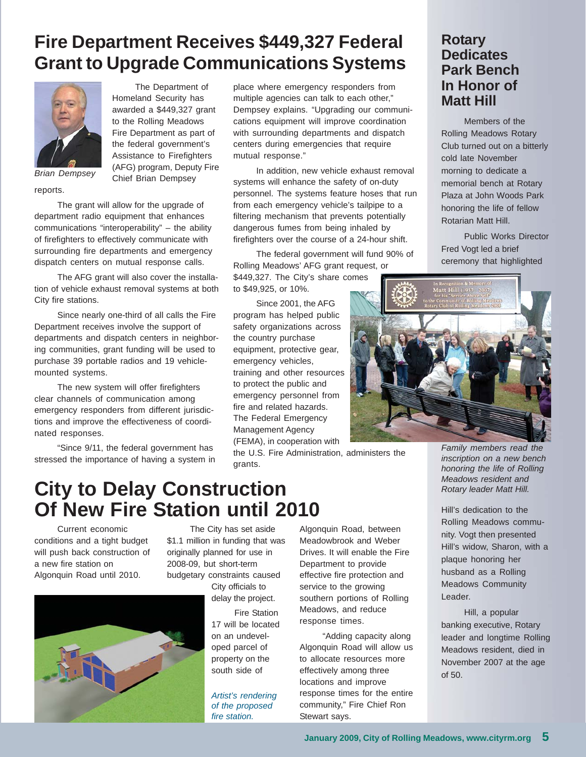# **Fire Department Receives \$449,327 Federal Grant to Upgrade Communications Systems**



The Department of Homeland Security has awarded a \$449,327 grant to the Rolling Meadows Fire Department as part of the federal government's Assistance to Firefighters (AFG) program, Deputy Fire Chief Brian Dempsey

*Brian Dempsey*

reports.

The grant will allow for the upgrade of department radio equipment that enhances communications "interoperability" – the ability of firefighters to effectively communicate with surrounding fire departments and emergency dispatch centers on mutual response calls.

The AFG grant will also cover the installation of vehicle exhaust removal systems at both City fire stations.

Since nearly one-third of all calls the Fire Department receives involve the support of departments and dispatch centers in neighboring communities, grant funding will be used to purchase 39 portable radios and 19 vehiclemounted systems.

The new system will offer firefighters clear channels of communication among emergency responders from different jurisdictions and improve the effectiveness of coordinated responses.

"Since 9/11, the federal government has stressed the importance of having a system in place where emergency responders from multiple agencies can talk to each other," Dempsey explains. "Upgrading our communications equipment will improve coordination with surrounding departments and dispatch centers during emergencies that require mutual response."

In addition, new vehicle exhaust removal systems will enhance the safety of on-duty personnel. The systems feature hoses that run from each emergency vehicle's tailpipe to a filtering mechanism that prevents potentially dangerous fumes from being inhaled by firefighters over the course of a 24-hour shift.

The federal government will fund 90% of Rolling Meadows' AFG grant request, or \$449,327. The City's share comes

to \$49,925, or 10%.

Since 2001, the AFG program has helped public safety organizations across the country purchase equipment, protective gear, emergency vehicles, training and other resources to protect the public and emergency personnel from fire and related hazards. The Federal Emergency Management Agency (FEMA), in cooperation with

the U.S. Fire Administration, administers the grants.

### **Rotary Dedicates Park Bench In Honor of Matt Hill**

Members of the Rolling Meadows Rotary Club turned out on a bitterly cold late November morning to dedicate a memorial bench at Rotary Plaza at John Woods Park honoring the life of fellow Rotarian Matt Hill.

Public Works Director Fred Vogt led a brief ceremony that highlighted



*Family members read the inscription on a new bench honoring the life of Rolling Meadows resident and Rotary leader Matt Hill.*

Hill's dedication to the Rolling Meadows community. Vogt then presented Hill's widow, Sharon, with a plaque honoring her husband as a Rolling Meadows Community Leader.

Hill, a popular banking executive, Rotary leader and longtime Rolling Meadows resident, died in November 2007 at the age of 50.

## **City to Delay Construction Of New Fire Station until 2010**

Current economic conditions and a tight budget will push back construction of a new fire station on Algonquin Road until 2010.

The City has set aside \$1.1 million in funding that was originally planned for use in 2008-09, but short-term budgetary constraints caused

City officials to delay the project.

Fire Station 17 will be located on an undeveloped parcel of property on the south side of

*Artist's rendering of the proposed fire station.*

Algonquin Road, between Meadowbrook and Weber Drives. It will enable the Fire Department to provide effective fire protection and service to the growing southern portions of Rolling Meadows, and reduce response times.

"Adding capacity along Algonquin Road will allow us to allocate resources more effectively among three locations and improve response times for the entire community," Fire Chief Ron Stewart says.